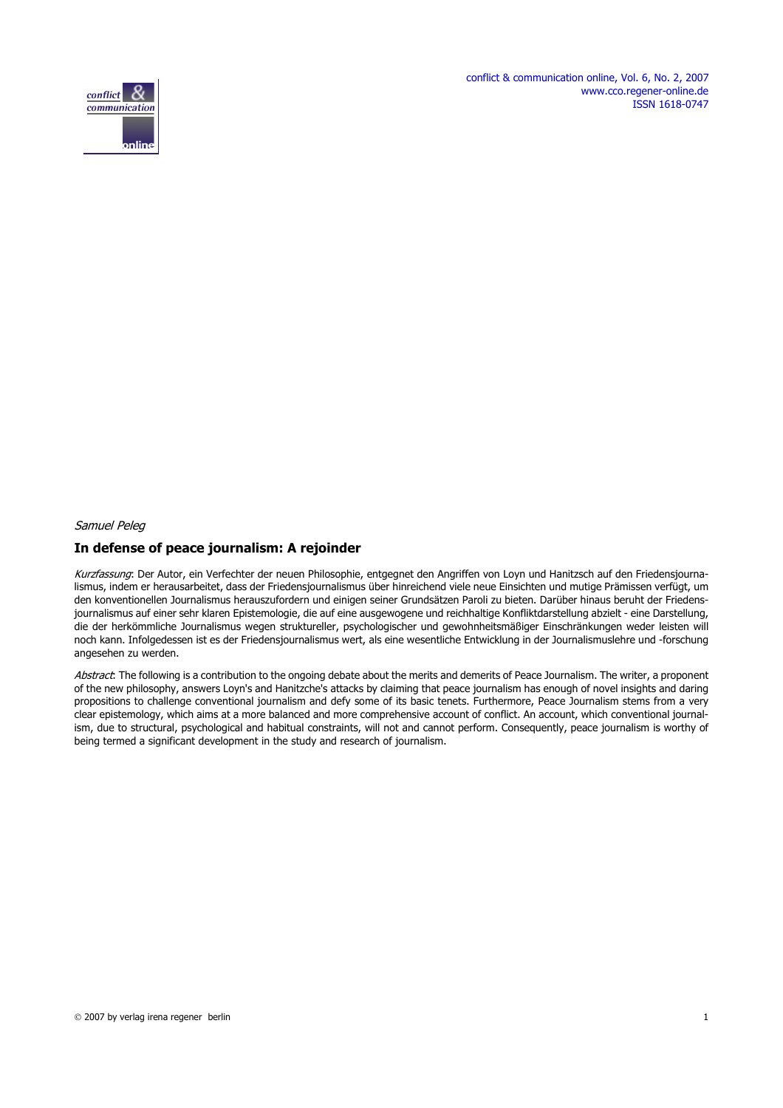conflict & communication online, Vol. 6, No. 2, 2007 www.cco.regener-online.de ISSN 1618-0747



# Samuel Peleg

## **In defense of peace journalism: A rejoinder**

Kurzfassung: Der Autor, ein Verfechter der neuen Philosophie, entgegnet den Angriffen von Loyn und Hanitzsch auf den Friedensjournalismus, indem er herausarbeitet, dass der Friedensjournalismus über hinreichend viele neue Einsichten und mutige Prämissen verfügt, um den konventionellen Journalismus herauszufordern und einigen seiner Grundsätzen Paroli zu bieten. Darüber hinaus beruht der Friedensjournalismus auf einer sehr klaren Epistemologie, die auf eine ausgewogene und reichhaltige Konfliktdarstellung abzielt - eine Darstellung, die der herkömmliche Journalismus wegen struktureller, psychologischer und gewohnheitsmäßiger Einschränkungen weder leisten will noch kann. Infolgedessen ist es der Friedensjournalismus wert, als eine wesentliche Entwicklung in der Journalismuslehre und -forschung angesehen zu werden.

Abstract: The following is a contribution to the ongoing debate about the merits and demerits of Peace Journalism. The writer, a proponent of the new philosophy, answers Loyn's and Hanitzche's attacks by claiming that peace journalism has enough of novel insights and daring propositions to challenge conventional journalism and defy some of its basic tenets. Furthermore, Peace Journalism stems from a very clear epistemology, which aims at a more balanced and more comprehensive account of conflict. An account, which conventional journalism, due to structural, psychological and habitual constraints, will not and cannot perform. Consequently, peace journalism is worthy of being termed a significant development in the study and research of journalism.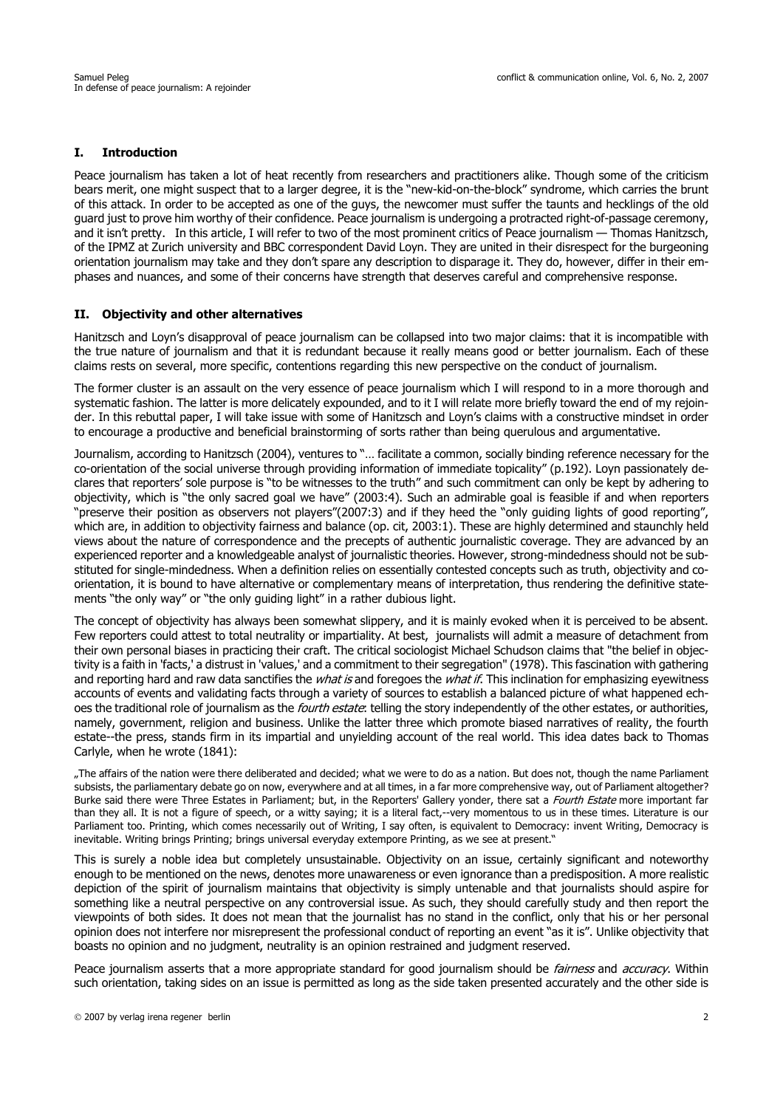## **I. Introduction**

Peace journalism has taken a lot of heat recently from researchers and practitioners alike. Though some of the criticism bears merit, one might suspect that to a larger degree, it is the "new-kid-on-the-block" syndrome, which carries the brunt of this attack. In order to be accepted as one of the guys, the newcomer must suffer the taunts and hecklings of the old guard just to prove him worthy of their confidence. Peace journalism is undergoing a protracted right-of-passage ceremony, and it isn't pretty. In this article, I will refer to two of the most prominent critics of Peace journalism — Thomas Hanitzsch, of the IPMZ at Zurich university and BBC correspondent David Loyn. They are united in their disrespect for the burgeoning orientation journalism may take and they don't spare any description to disparage it. They do, however, differ in their emphases and nuances, and some of their concerns have strength that deserves careful and comprehensive response.

#### **II. Objectivity and other alternatives**

Hanitzsch and Loyn's disapproval of peace journalism can be collapsed into two major claims: that it is incompatible with the true nature of journalism and that it is redundant because it really means good or better journalism. Each of these claims rests on several, more specific, contentions regarding this new perspective on the conduct of journalism.

The former cluster is an assault on the very essence of peace journalism which I will respond to in a more thorough and systematic fashion. The latter is more delicately expounded, and to it I will relate more briefly toward the end of my rejoinder. In this rebuttal paper, I will take issue with some of Hanitzsch and Loyn's claims with a constructive mindset in order to encourage a productive and beneficial brainstorming of sorts rather than being querulous and argumentative.

Journalism, according to Hanitzsch (2004), ventures to "… facilitate a common, socially binding reference necessary for the co-orientation of the social universe through providing information of immediate topicality" (p.192). Loyn passionately declares that reporters' sole purpose is "to be witnesses to the truth" and such commitment can only be kept by adhering to objectivity, which is "the only sacred goal we have" (2003:4). Such an admirable goal is feasible if and when reporters "preserve their position as observers not players"(2007:3) and if they heed the "only guiding lights of good reporting", which are, in addition to objectivity fairness and balance (op. cit, 2003:1). These are highly determined and staunchly held views about the nature of correspondence and the precepts of authentic journalistic coverage. They are advanced by an experienced reporter and a knowledgeable analyst of journalistic theories. However, strong-mindedness should not be substituted for single-mindedness. When a definition relies on essentially contested concepts such as truth, objectivity and coorientation, it is bound to have alternative or complementary means of interpretation, thus rendering the definitive statements "the only way" or "the only guiding light" in a rather dubious light.

The concept of objectivity has always been somewhat slippery, and it is mainly evoked when it is perceived to be absent. Few reporters could attest to total neutrality or impartiality. At best, journalists will admit a measure of detachment from their own personal biases in practicing their craft. The critical sociologist Michael Schudson claims that "the belief in objectivity is a faith in 'facts,' a distrust in 'values,' and a commitment to their segregation" (1978). This fascination with gathering and reporting hard and raw data sanctifies the *what is* and foregoes the *what if*. This inclination for emphasizing eyewitness accounts of events and validating facts through a variety of sources to establish a balanced picture of what happened echoes the traditional role of journalism as the *fourth estate*: telling the story independently of the other estates, or authorities, namely, government, religion and business. Unlike the latter three which promote biased narratives of reality, the fourth estate--the press, stands firm in its impartial and unyielding account of the real world. This idea dates back to Thomas Carlyle, when he wrote (1841):

"The affairs of the nation were there deliberated and decided; what we were to do as a nation. But does not, though the name Parliament subsists, the parliamentary debate go on now, everywhere and at all times, in a far more comprehensive way, out of Parliament altogether? Burke said there were Three Estates in Parliament; but, in the Reporters' Gallery yonder, there sat a Fourth Estate more important far than they all. It is not a figure of speech, or a witty saying; it is a literal fact,--very momentous to us in these times. Literature is our Parliament too. Printing, which comes necessarily out of Writing, I say often, is equivalent to Democracy: invent Writing, Democracy is inevitable. Writing brings Printing; brings universal everyday extempore Printing, as we see at present."

This is surely a noble idea but completely unsustainable. Objectivity on an issue, certainly significant and noteworthy enough to be mentioned on the news, denotes more unawareness or even ignorance than a predisposition. A more realistic depiction of the spirit of journalism maintains that objectivity is simply untenable and that journalists should aspire for something like a neutral perspective on any controversial issue. As such, they should carefully study and then report the viewpoints of both sides. It does not mean that the journalist has no stand in the conflict, only that his or her personal opinion does not interfere nor misrepresent the professional conduct of reporting an event "as it is". Unlike objectivity that boasts no opinion and no judgment, neutrality is an opinion restrained and judgment reserved.

Peace journalism asserts that a more appropriate standard for good journalism should be *fairness* and *accuracy*. Within such orientation, taking sides on an issue is permitted as long as the side taken presented accurately and the other side is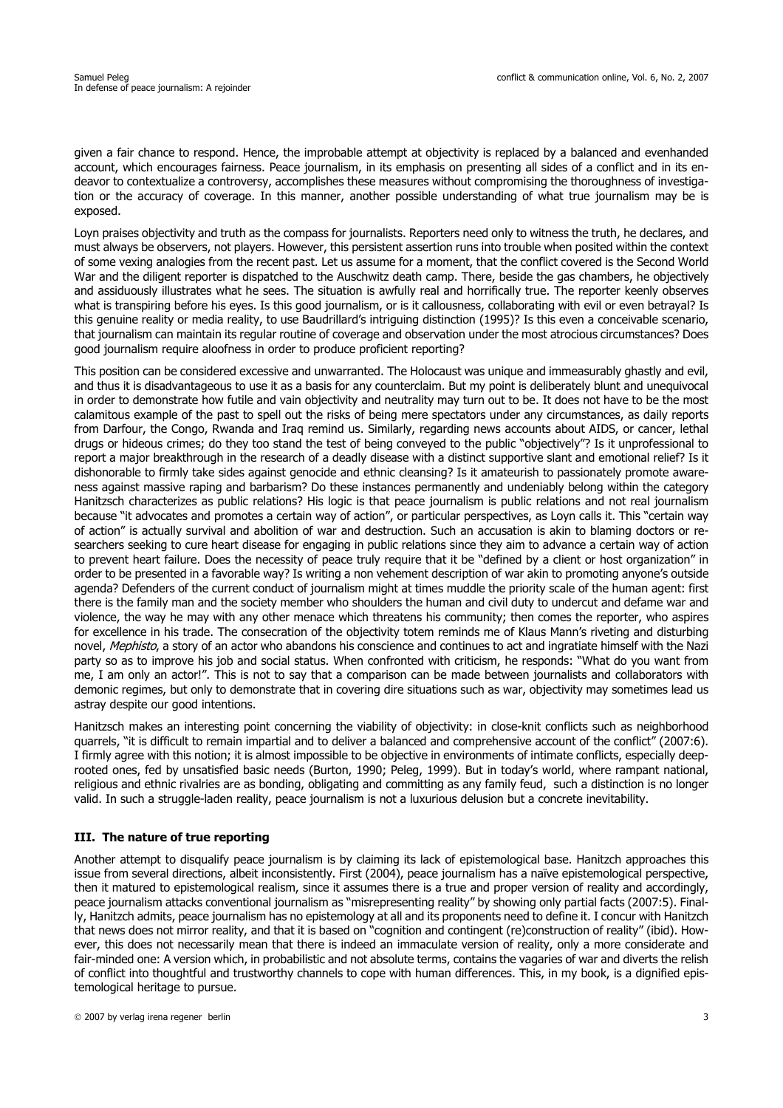given a fair chance to respond. Hence, the improbable attempt at objectivity is replaced by a balanced and evenhanded account, which encourages fairness. Peace journalism, in its emphasis on presenting all sides of a conflict and in its endeavor to contextualize a controversy, accomplishes these measures without compromising the thoroughness of investigation or the accuracy of coverage. In this manner, another possible understanding of what true journalism may be is exposed.

Loyn praises objectivity and truth as the compass for journalists. Reporters need only to witness the truth, he declares, and must always be observers, not players. However, this persistent assertion runs into trouble when posited within the context of some vexing analogies from the recent past. Let us assume for a moment, that the conflict covered is the Second World War and the diligent reporter is dispatched to the Auschwitz death camp. There, beside the gas chambers, he objectively and assiduously illustrates what he sees. The situation is awfully real and horrifically true. The reporter keenly observes what is transpiring before his eyes. Is this good journalism, or is it callousness, collaborating with evil or even betrayal? Is this genuine reality or media reality, to use Baudrillard's intriguing distinction (1995)? Is this even a conceivable scenario, that journalism can maintain its regular routine of coverage and observation under the most atrocious circumstances? Does good journalism require aloofness in order to produce proficient reporting?

This position can be considered excessive and unwarranted. The Holocaust was unique and immeasurably ghastly and evil, and thus it is disadvantageous to use it as a basis for any counterclaim. But my point is deliberately blunt and unequivocal in order to demonstrate how futile and vain objectivity and neutrality may turn out to be. It does not have to be the most calamitous example of the past to spell out the risks of being mere spectators under any circumstances, as daily reports from Darfour, the Congo, Rwanda and Iraq remind us. Similarly, regarding news accounts about AIDS, or cancer, lethal drugs or hideous crimes; do they too stand the test of being conveyed to the public "objectively"? Is it unprofessional to report a major breakthrough in the research of a deadly disease with a distinct supportive slant and emotional relief? Is it dishonorable to firmly take sides against genocide and ethnic cleansing? Is it amateurish to passionately promote awareness against massive raping and barbarism? Do these instances permanently and undeniably belong within the category Hanitzsch characterizes as public relations? His logic is that peace journalism is public relations and not real journalism because "it advocates and promotes a certain way of action", or particular perspectives, as Loyn calls it. This "certain way of action" is actually survival and abolition of war and destruction. Such an accusation is akin to blaming doctors or researchers seeking to cure heart disease for engaging in public relations since they aim to advance a certain way of action to prevent heart failure. Does the necessity of peace truly require that it be "defined by a client or host organization" in order to be presented in a favorable way? Is writing a non vehement description of war akin to promoting anyone's outside agenda? Defenders of the current conduct of journalism might at times muddle the priority scale of the human agent: first there is the family man and the society member who shoulders the human and civil duty to undercut and defame war and violence, the way he may with any other menace which threatens his community; then comes the reporter, who aspires for excellence in his trade. The consecration of the objectivity totem reminds me of Klaus Mann's riveting and disturbing novel, Mephisto, a story of an actor who abandons his conscience and continues to act and ingratiate himself with the Nazi party so as to improve his job and social status. When confronted with criticism, he responds: "What do you want from me, I am only an actor!". This is not to say that a comparison can be made between journalists and collaborators with demonic regimes, but only to demonstrate that in covering dire situations such as war, objectivity may sometimes lead us astray despite our good intentions.

Hanitzsch makes an interesting point concerning the viability of objectivity: in close-knit conflicts such as neighborhood quarrels, "it is difficult to remain impartial and to deliver a balanced and comprehensive account of the conflict" (2007:6). I firmly agree with this notion; it is almost impossible to be objective in environments of intimate conflicts, especially deeprooted ones, fed by unsatisfied basic needs (Burton, 1990; Peleg, 1999). But in today's world, where rampant national, religious and ethnic rivalries are as bonding, obligating and committing as any family feud, such a distinction is no longer valid. In such a struggle-laden reality, peace journalism is not a luxurious delusion but a concrete inevitability.

#### **III. The nature of true reporting**

Another attempt to disqualify peace journalism is by claiming its lack of epistemological base. Hanitzch approaches this issue from several directions, albeit inconsistently. First (2004), peace journalism has a naïve epistemological perspective, then it matured to epistemological realism, since it assumes there is a true and proper version of reality and accordingly, peace journalism attacks conventional journalism as "misrepresenting reality" by showing only partial facts (2007:5). Finally, Hanitzch admits, peace journalism has no epistemology at all and its proponents need to define it. I concur with Hanitzch that news does not mirror reality, and that it is based on "cognition and contingent (re)construction of reality" (ibid). However, this does not necessarily mean that there is indeed an immaculate version of reality, only a more considerate and fair-minded one: A version which, in probabilistic and not absolute terms, contains the vagaries of war and diverts the relish of conflict into thoughtful and trustworthy channels to cope with human differences. This, in my book, is a dignified epistemological heritage to pursue.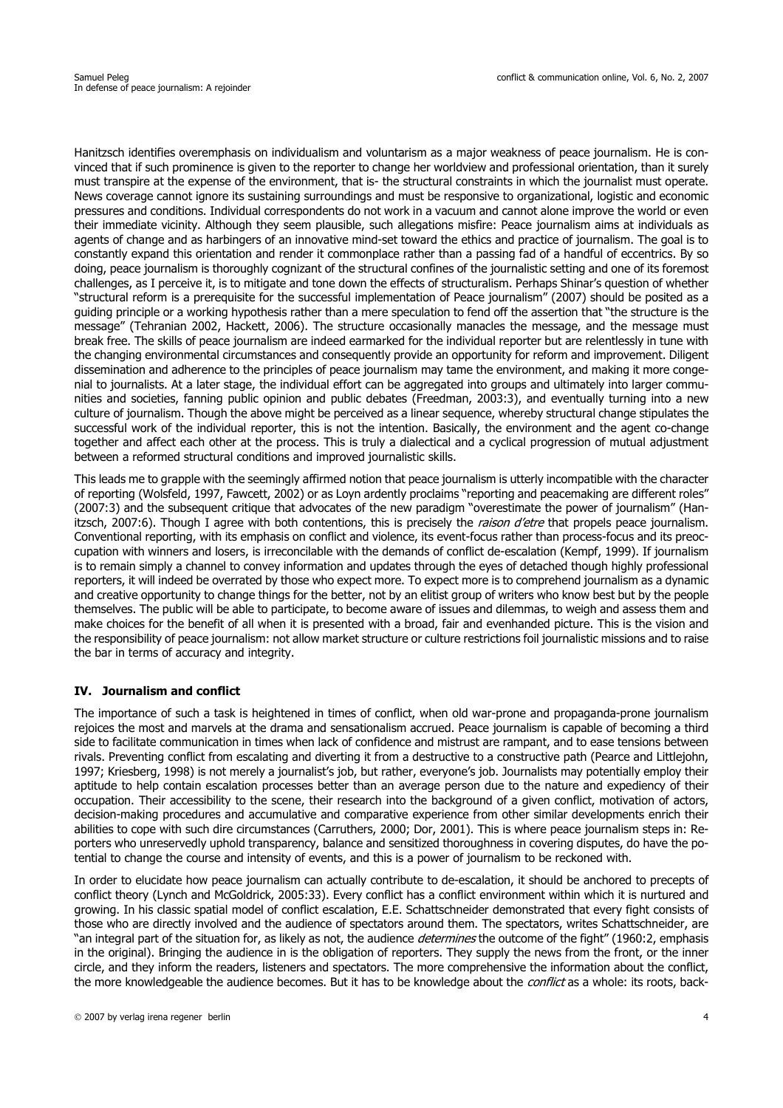Hanitzsch identifies overemphasis on individualism and voluntarism as a major weakness of peace journalism. He is convinced that if such prominence is given to the reporter to change her worldview and professional orientation, than it surely must transpire at the expense of the environment, that is- the structural constraints in which the journalist must operate. News coverage cannot ignore its sustaining surroundings and must be responsive to organizational, logistic and economic pressures and conditions. Individual correspondents do not work in a vacuum and cannot alone improve the world or even their immediate vicinity. Although they seem plausible, such allegations misfire: Peace journalism aims at individuals as agents of change and as harbingers of an innovative mind-set toward the ethics and practice of journalism. The goal is to constantly expand this orientation and render it commonplace rather than a passing fad of a handful of eccentrics. By so doing, peace journalism is thoroughly cognizant of the structural confines of the journalistic setting and one of its foremost challenges, as I perceive it, is to mitigate and tone down the effects of structuralism. Perhaps Shinar's question of whether "structural reform is a prerequisite for the successful implementation of Peace journalism" (2007) should be posited as a guiding principle or a working hypothesis rather than a mere speculation to fend off the assertion that "the structure is the message" (Tehranian 2002, Hackett, 2006). The structure occasionally manacles the message, and the message must break free. The skills of peace journalism are indeed earmarked for the individual reporter but are relentlessly in tune with the changing environmental circumstances and consequently provide an opportunity for reform and improvement. Diligent dissemination and adherence to the principles of peace journalism may tame the environment, and making it more congenial to journalists. At a later stage, the individual effort can be aggregated into groups and ultimately into larger communities and societies, fanning public opinion and public debates (Freedman, 2003:3), and eventually turning into a new culture of journalism. Though the above might be perceived as a linear sequence, whereby structural change stipulates the successful work of the individual reporter, this is not the intention. Basically, the environment and the agent co-change together and affect each other at the process. This is truly a dialectical and a cyclical progression of mutual adjustment between a reformed structural conditions and improved journalistic skills.

This leads me to grapple with the seemingly affirmed notion that peace journalism is utterly incompatible with the character of reporting (Wolsfeld, 1997, Fawcett, 2002) or as Loyn ardently proclaims "reporting and peacemaking are different roles" (2007:3) and the subsequent critique that advocates of the new paradigm "overestimate the power of journalism" (Hanitzsch, 2007:6). Though I agree with both contentions, this is precisely the raison d'etre that propels peace journalism. Conventional reporting, with its emphasis on conflict and violence, its event-focus rather than process-focus and its preoccupation with winners and losers, is irreconcilable with the demands of conflict de-escalation (Kempf, 1999). If journalism is to remain simply a channel to convey information and updates through the eyes of detached though highly professional reporters, it will indeed be overrated by those who expect more. To expect more is to comprehend journalism as a dynamic and creative opportunity to change things for the better, not by an elitist group of writers who know best but by the people themselves. The public will be able to participate, to become aware of issues and dilemmas, to weigh and assess them and make choices for the benefit of all when it is presented with a broad, fair and evenhanded picture. This is the vision and the responsibility of peace journalism: not allow market structure or culture restrictions foil journalistic missions and to raise the bar in terms of accuracy and integrity.

#### **IV. Journalism and conflict**

The importance of such a task is heightened in times of conflict, when old war-prone and propaganda-prone journalism rejoices the most and marvels at the drama and sensationalism accrued. Peace journalism is capable of becoming a third side to facilitate communication in times when lack of confidence and mistrust are rampant, and to ease tensions between rivals. Preventing conflict from escalating and diverting it from a destructive to a constructive path (Pearce and Littlejohn, 1997; Kriesberg, 1998) is not merely a journalist's job, but rather, everyone's job. Journalists may potentially employ their aptitude to help contain escalation processes better than an average person due to the nature and expediency of their occupation. Their accessibility to the scene, their research into the background of a given conflict, motivation of actors, decision-making procedures and accumulative and comparative experience from other similar developments enrich their abilities to cope with such dire circumstances (Carruthers, 2000; Dor, 2001). This is where peace journalism steps in: Reporters who unreservedly uphold transparency, balance and sensitized thoroughness in covering disputes, do have the potential to change the course and intensity of events, and this is a power of journalism to be reckoned with.

In order to elucidate how peace journalism can actually contribute to de-escalation, it should be anchored to precepts of conflict theory (Lynch and McGoldrick, 2005:33). Every conflict has a conflict environment within which it is nurtured and growing. In his classic spatial model of conflict escalation, E.E. Schattschneider demonstrated that every fight consists of those who are directly involved and the audience of spectators around them. The spectators, writes Schattschneider, are "an integral part of the situation for, as likely as not, the audience *determines* the outcome of the fight" (1960:2, emphasis in the original). Bringing the audience in is the obligation of reporters. They supply the news from the front, or the inner circle, and they inform the readers, listeners and spectators. The more comprehensive the information about the conflict, the more knowledgeable the audience becomes. But it has to be knowledge about the *conflict* as a whole: its roots, back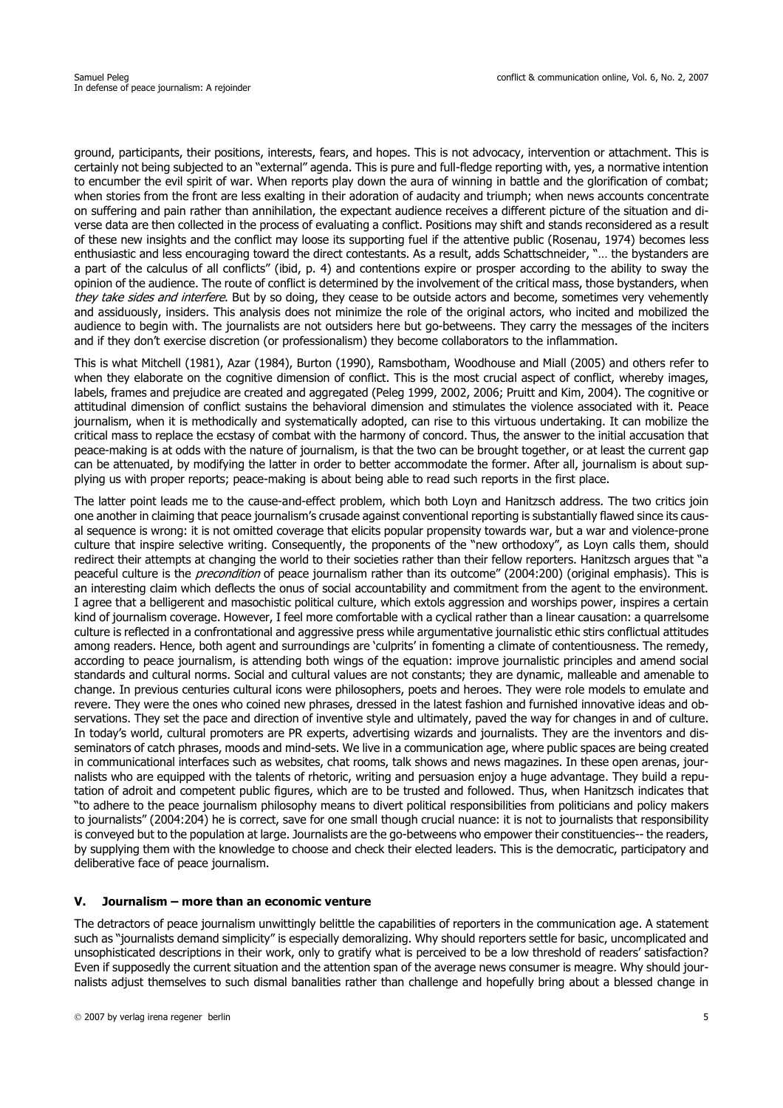ground, participants, their positions, interests, fears, and hopes. This is not advocacy, intervention or attachment. This is certainly not being subjected to an "external" agenda. This is pure and full-fledge reporting with, yes, a normative intention to encumber the evil spirit of war. When reports play down the aura of winning in battle and the glorification of combat; when stories from the front are less exalting in their adoration of audacity and triumph; when news accounts concentrate on suffering and pain rather than annihilation, the expectant audience receives a different picture of the situation and diverse data are then collected in the process of evaluating a conflict. Positions may shift and stands reconsidered as a result of these new insights and the conflict may loose its supporting fuel if the attentive public (Rosenau, 1974) becomes less enthusiastic and less encouraging toward the direct contestants. As a result, adds Schattschneider, "… the bystanders are a part of the calculus of all conflicts" (ibid, p. 4) and contentions expire or prosper according to the ability to sway the opinion of the audience. The route of conflict is determined by the involvement of the critical mass, those bystanders, when they take sides and interfere. But by so doing, they cease to be outside actors and become, sometimes very vehemently and assiduously, insiders. This analysis does not minimize the role of the original actors, who incited and mobilized the audience to begin with. The journalists are not outsiders here but go-betweens. They carry the messages of the inciters and if they don't exercise discretion (or professionalism) they become collaborators to the inflammation.

This is what Mitchell (1981), Azar (1984), Burton (1990), Ramsbotham, Woodhouse and Miall (2005) and others refer to when they elaborate on the cognitive dimension of conflict. This is the most crucial aspect of conflict, whereby images, labels, frames and prejudice are created and aggregated (Peleg 1999, 2002, 2006; Pruitt and Kim, 2004). The cognitive or attitudinal dimension of conflict sustains the behavioral dimension and stimulates the violence associated with it. Peace journalism, when it is methodically and systematically adopted, can rise to this virtuous undertaking. It can mobilize the critical mass to replace the ecstasy of combat with the harmony of concord. Thus, the answer to the initial accusation that peace-making is at odds with the nature of journalism, is that the two can be brought together, or at least the current gap can be attenuated, by modifying the latter in order to better accommodate the former. After all, journalism is about supplying us with proper reports; peace-making is about being able to read such reports in the first place.

The latter point leads me to the cause-and-effect problem, which both Loyn and Hanitzsch address. The two critics join one another in claiming that peace journalism's crusade against conventional reporting is substantially flawed since its causal sequence is wrong: it is not omitted coverage that elicits popular propensity towards war, but a war and violence-prone culture that inspire selective writing. Consequently, the proponents of the "new orthodoxy", as Loyn calls them, should redirect their attempts at changing the world to their societies rather than their fellow reporters. Hanitzsch argues that "a peaceful culture is the *precondition* of peace journalism rather than its outcome" (2004:200) (original emphasis). This is an interesting claim which deflects the onus of social accountability and commitment from the agent to the environment. I agree that a belligerent and masochistic political culture, which extols aggression and worships power, inspires a certain kind of journalism coverage. However, I feel more comfortable with a cyclical rather than a linear causation: a quarrelsome culture is reflected in a confrontational and aggressive press while argumentative journalistic ethic stirs conflictual attitudes among readers. Hence, both agent and surroundings are 'culprits' in fomenting a climate of contentiousness. The remedy, according to peace journalism, is attending both wings of the equation: improve journalistic principles and amend social standards and cultural norms. Social and cultural values are not constants; they are dynamic, malleable and amenable to change. In previous centuries cultural icons were philosophers, poets and heroes. They were role models to emulate and revere. They were the ones who coined new phrases, dressed in the latest fashion and furnished innovative ideas and observations. They set the pace and direction of inventive style and ultimately, paved the way for changes in and of culture. In today's world, cultural promoters are PR experts, advertising wizards and journalists. They are the inventors and disseminators of catch phrases, moods and mind-sets. We live in a communication age, where public spaces are being created in communicational interfaces such as websites, chat rooms, talk shows and news magazines. In these open arenas, journalists who are equipped with the talents of rhetoric, writing and persuasion enjoy a huge advantage. They build a reputation of adroit and competent public figures, which are to be trusted and followed. Thus, when Hanitzsch indicates that "to adhere to the peace journalism philosophy means to divert political responsibilities from politicians and policy makers to journalists" (2004:204) he is correct, save for one small though crucial nuance: it is not to journalists that responsibility is conveyed but to the population at large. Journalists are the go-betweens who empower their constituencies-- the readers, by supplying them with the knowledge to choose and check their elected leaders. This is the democratic, participatory and deliberative face of peace journalism.

#### **V. Journalism – more than an economic venture**

The detractors of peace journalism unwittingly belittle the capabilities of reporters in the communication age. A statement such as "journalists demand simplicity" is especially demoralizing. Why should reporters settle for basic, uncomplicated and unsophisticated descriptions in their work, only to gratify what is perceived to be a low threshold of readers' satisfaction? Even if supposedly the current situation and the attention span of the average news consumer is meagre. Why should journalists adjust themselves to such dismal banalities rather than challenge and hopefully bring about a blessed change in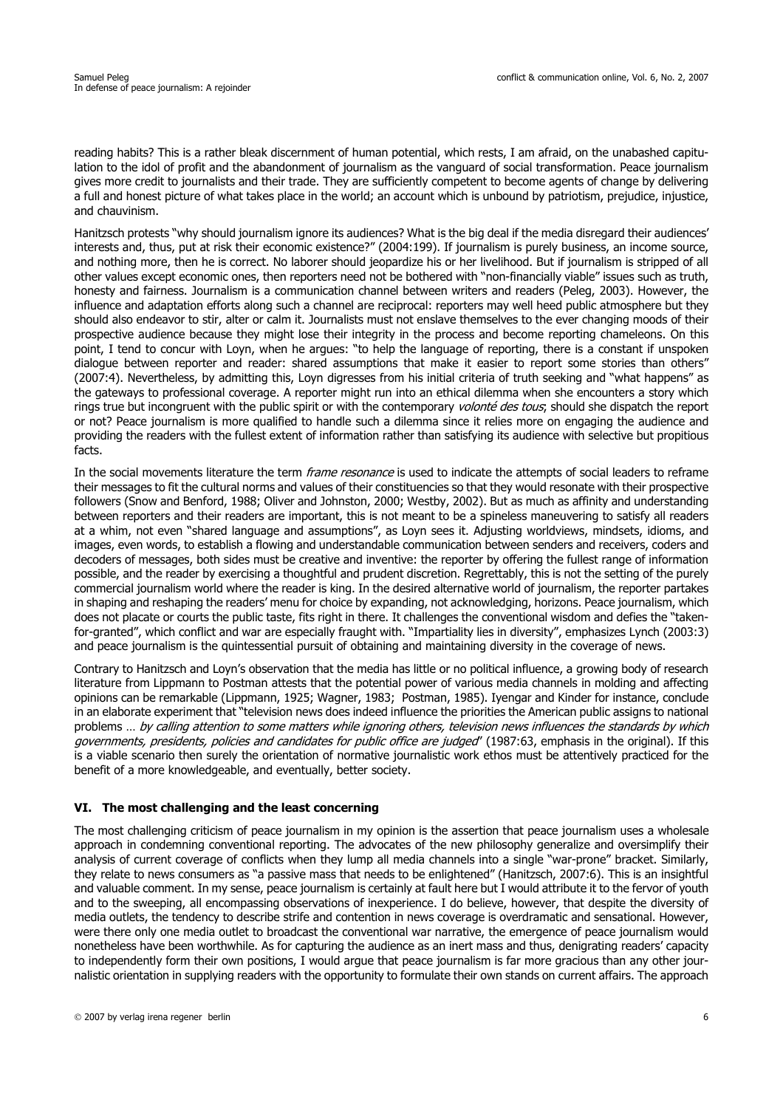reading habits? This is a rather bleak discernment of human potential, which rests, I am afraid, on the unabashed capitulation to the idol of profit and the abandonment of journalism as the vanguard of social transformation. Peace journalism gives more credit to journalists and their trade. They are sufficiently competent to become agents of change by delivering a full and honest picture of what takes place in the world; an account which is unbound by patriotism, prejudice, injustice, and chauvinism.

Hanitzsch protests "why should journalism ignore its audiences? What is the big deal if the media disregard their audiences' interests and, thus, put at risk their economic existence?" (2004:199). If journalism is purely business, an income source, and nothing more, then he is correct. No laborer should jeopardize his or her livelihood. But if journalism is stripped of all other values except economic ones, then reporters need not be bothered with "non-financially viable" issues such as truth, honesty and fairness. Journalism is a communication channel between writers and readers (Peleg, 2003). However, the influence and adaptation efforts along such a channel are reciprocal: reporters may well heed public atmosphere but they should also endeavor to stir, alter or calm it. Journalists must not enslave themselves to the ever changing moods of their prospective audience because they might lose their integrity in the process and become reporting chameleons. On this point, I tend to concur with Loyn, when he argues: "to help the language of reporting, there is a constant if unspoken dialogue between reporter and reader: shared assumptions that make it easier to report some stories than others" (2007:4). Nevertheless, by admitting this, Loyn digresses from his initial criteria of truth seeking and "what happens" as the gateways to professional coverage. A reporter might run into an ethical dilemma when she encounters a story which rings true but incongruent with the public spirit or with the contemporary volonté des tous; should she dispatch the report or not? Peace journalism is more qualified to handle such a dilemma since it relies more on engaging the audience and providing the readers with the fullest extent of information rather than satisfying its audience with selective but propitious facts.

In the social movements literature the term *frame resonance* is used to indicate the attempts of social leaders to reframe their messages to fit the cultural norms and values of their constituencies so that they would resonate with their prospective followers (Snow and Benford, 1988; Oliver and Johnston, 2000; Westby, 2002). But as much as affinity and understanding between reporters and their readers are important, this is not meant to be a spineless maneuvering to satisfy all readers at a whim, not even "shared language and assumptions", as Loyn sees it. Adjusting worldviews, mindsets, idioms, and images, even words, to establish a flowing and understandable communication between senders and receivers, coders and decoders of messages, both sides must be creative and inventive: the reporter by offering the fullest range of information possible, and the reader by exercising a thoughtful and prudent discretion. Regrettably, this is not the setting of the purely commercial journalism world where the reader is king. In the desired alternative world of journalism, the reporter partakes in shaping and reshaping the readers' menu for choice by expanding, not acknowledging, horizons. Peace journalism, which does not placate or courts the public taste, fits right in there. It challenges the conventional wisdom and defies the "takenfor-granted", which conflict and war are especially fraught with. "Impartiality lies in diversity", emphasizes Lynch (2003:3) and peace journalism is the quintessential pursuit of obtaining and maintaining diversity in the coverage of news.

Contrary to Hanitzsch and Loyn's observation that the media has little or no political influence, a growing body of research literature from Lippmann to Postman attests that the potential power of various media channels in molding and affecting opinions can be remarkable (Lippmann, 1925; Wagner, 1983; Postman, 1985). Iyengar and Kinder for instance, conclude in an elaborate experiment that "television news does indeed influence the priorities the American public assigns to national problems ... by calling attention to some matters while ignoring others, television news influences the standards by which governments, presidents, policies and candidates for public office are judged" (1987:63, emphasis in the original). If this is a viable scenario then surely the orientation of normative journalistic work ethos must be attentively practiced for the benefit of a more knowledgeable, and eventually, better society.

#### **VI. The most challenging and the least concerning**

The most challenging criticism of peace journalism in my opinion is the assertion that peace journalism uses a wholesale approach in condemning conventional reporting. The advocates of the new philosophy generalize and oversimplify their analysis of current coverage of conflicts when they lump all media channels into a single "war-prone" bracket. Similarly, they relate to news consumers as "a passive mass that needs to be enlightened" (Hanitzsch, 2007:6). This is an insightful and valuable comment. In my sense, peace journalism is certainly at fault here but I would attribute it to the fervor of youth and to the sweeping, all encompassing observations of inexperience. I do believe, however, that despite the diversity of media outlets, the tendency to describe strife and contention in news coverage is overdramatic and sensational. However, were there only one media outlet to broadcast the conventional war narrative, the emergence of peace journalism would nonetheless have been worthwhile. As for capturing the audience as an inert mass and thus, denigrating readers' capacity to independently form their own positions, I would argue that peace journalism is far more gracious than any other journalistic orientation in supplying readers with the opportunity to formulate their own stands on current affairs. The approach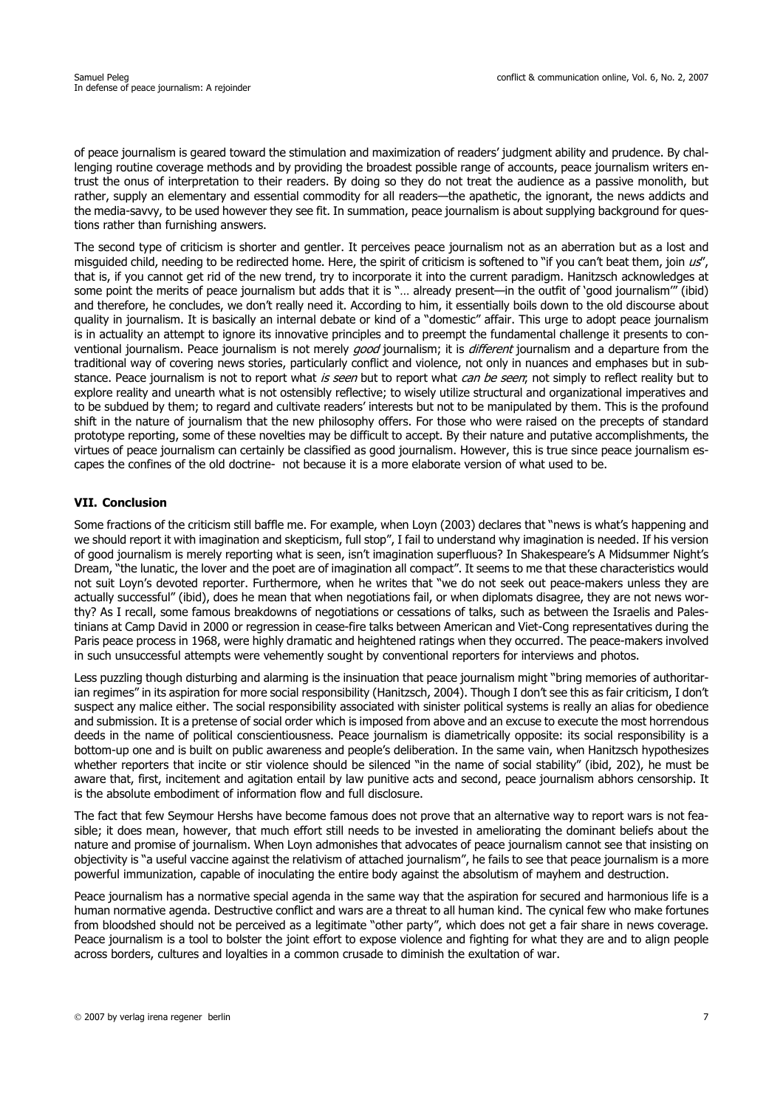of peace journalism is geared toward the stimulation and maximization of readers' judgment ability and prudence. By challenging routine coverage methods and by providing the broadest possible range of accounts, peace journalism writers entrust the onus of interpretation to their readers. By doing so they do not treat the audience as a passive monolith, but rather, supply an elementary and essential commodity for all readers—the apathetic, the ignorant, the news addicts and the media-savvy, to be used however they see fit. In summation, peace journalism is about supplying background for questions rather than furnishing answers.

The second type of criticism is shorter and gentler. It perceives peace journalism not as an aberration but as a lost and misguided child, needing to be redirected home. Here, the spirit of criticism is softened to "if you can't beat them, join  $u s$ ", that is, if you cannot get rid of the new trend, try to incorporate it into the current paradigm. Hanitzsch acknowledges at some point the merits of peace journalism but adds that it is "… already present—in the outfit of 'good journalism'" (ibid) and therefore, he concludes, we don't really need it. According to him, it essentially boils down to the old discourse about quality in journalism. It is basically an internal debate or kind of a "domestic" affair. This urge to adopt peace journalism is in actuality an attempt to ignore its innovative principles and to preempt the fundamental challenge it presents to conventional journalism. Peace journalism is not merely good journalism; it is different journalism and a departure from the traditional way of covering news stories, particularly conflict and violence, not only in nuances and emphases but in substance. Peace journalism is not to report what is seen but to report what can be seen; not simply to reflect reality but to explore reality and unearth what is not ostensibly reflective; to wisely utilize structural and organizational imperatives and to be subdued by them; to regard and cultivate readers' interests but not to be manipulated by them. This is the profound shift in the nature of journalism that the new philosophy offers. For those who were raised on the precepts of standard prototype reporting, some of these novelties may be difficult to accept. By their nature and putative accomplishments, the virtues of peace journalism can certainly be classified as good journalism. However, this is true since peace journalism escapes the confines of the old doctrine- not because it is a more elaborate version of what used to be.

#### **VII. Conclusion**

Some fractions of the criticism still baffle me. For example, when Loyn (2003) declares that "news is what's happening and we should report it with imagination and skepticism, full stop", I fail to understand why imagination is needed. If his version of good journalism is merely reporting what is seen, isn't imagination superfluous? In Shakespeare's A Midsummer Night's Dream, "the lunatic, the lover and the poet are of imagination all compact". It seems to me that these characteristics would not suit Loyn's devoted reporter. Furthermore, when he writes that "we do not seek out peace-makers unless they are actually successful" (ibid), does he mean that when negotiations fail, or when diplomats disagree, they are not news worthy? As I recall, some famous breakdowns of negotiations or cessations of talks, such as between the Israelis and Palestinians at Camp David in 2000 or regression in cease-fire talks between American and Viet-Cong representatives during the Paris peace process in 1968, were highly dramatic and heightened ratings when they occurred. The peace-makers involved in such unsuccessful attempts were vehemently sought by conventional reporters for interviews and photos.

Less puzzling though disturbing and alarming is the insinuation that peace journalism might "bring memories of authoritarian regimes" in its aspiration for more social responsibility (Hanitzsch, 2004). Though I don't see this as fair criticism, I don't suspect any malice either. The social responsibility associated with sinister political systems is really an alias for obedience and submission. It is a pretense of social order which is imposed from above and an excuse to execute the most horrendous deeds in the name of political conscientiousness. Peace journalism is diametrically opposite: its social responsibility is a bottom-up one and is built on public awareness and people's deliberation. In the same vain, when Hanitzsch hypothesizes whether reporters that incite or stir violence should be silenced "in the name of social stability" (ibid, 202), he must be aware that, first, incitement and agitation entail by law punitive acts and second, peace journalism abhors censorship. It is the absolute embodiment of information flow and full disclosure.

The fact that few Seymour Hershs have become famous does not prove that an alternative way to report wars is not feasible; it does mean, however, that much effort still needs to be invested in ameliorating the dominant beliefs about the nature and promise of journalism. When Loyn admonishes that advocates of peace journalism cannot see that insisting on objectivity is "a useful vaccine against the relativism of attached journalism", he fails to see that peace journalism is a more powerful immunization, capable of inoculating the entire body against the absolutism of mayhem and destruction.

Peace journalism has a normative special agenda in the same way that the aspiration for secured and harmonious life is a human normative agenda. Destructive conflict and wars are a threat to all human kind. The cynical few who make fortunes from bloodshed should not be perceived as a legitimate "other party", which does not get a fair share in news coverage. Peace journalism is a tool to bolster the joint effort to expose violence and fighting for what they are and to align people across borders, cultures and loyalties in a common crusade to diminish the exultation of war.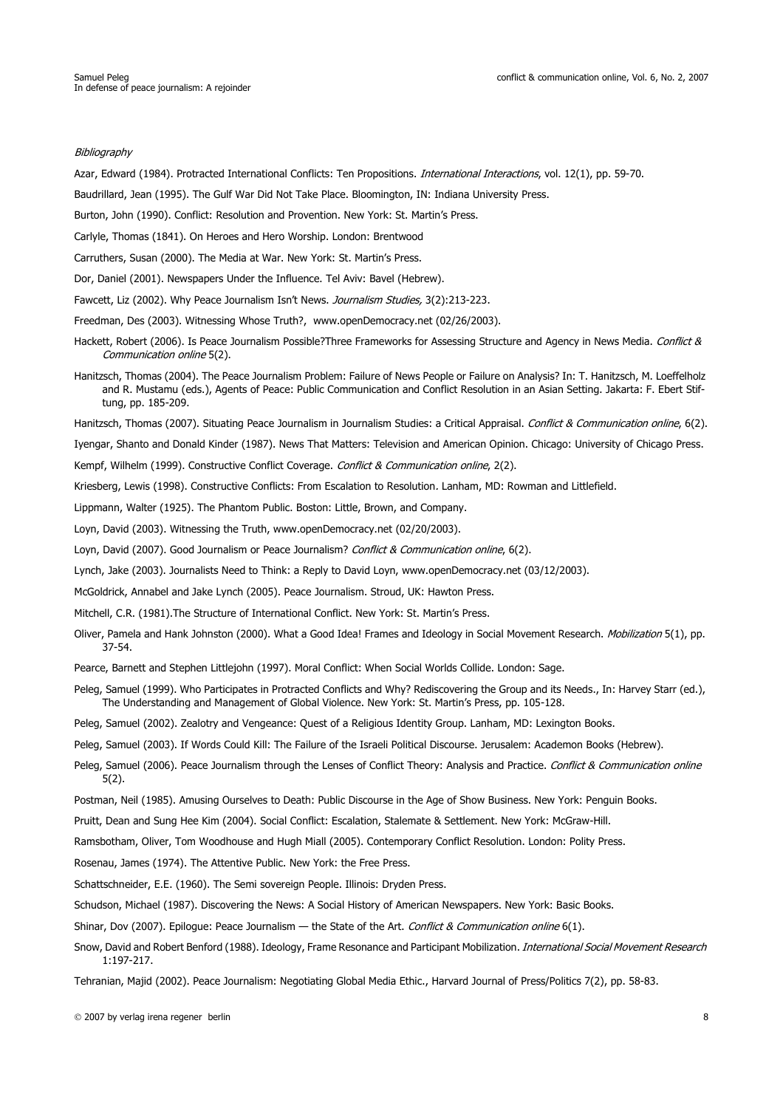#### **Bibliography**

Azar, Edward (1984). Protracted International Conflicts: Ten Propositions. *International Interactions*, vol. 12(1), pp. 59-70.

Baudrillard, Jean (1995). The Gulf War Did Not Take Place. Bloomington, IN: Indiana University Press.

Burton, John (1990). Conflict: Resolution and Provention. New York: St. Martin's Press.

Carlyle, Thomas (1841). On Heroes and Hero Worship. London: Brentwood

Carruthers, Susan (2000). The Media at War. New York: St. Martin's Press.

Dor, Daniel (2001). Newspapers Under the Influence. Tel Aviv: Bavel (Hebrew).

Fawcett, Liz (2002). Why Peace Journalism Isn't News. Journalism Studies, 3(2):213-223.

Freedman, Des (2003). Witnessing Whose Truth?, www.openDemocracy.net (02/26/2003).

- Hackett, Robert (2006). Is Peace Journalism Possible?Three Frameworks for Assessing Structure and Agency in News Media. Conflict & Communication online 5(2).
- Hanitzsch, Thomas (2004). The Peace Journalism Problem: Failure of News People or Failure on Analysis? In: T. Hanitzsch, M. Loeffelholz and R. Mustamu (eds.), Agents of Peace: Public Communication and Conflict Resolution in an Asian Setting. Jakarta: F. Ebert Stiftung, pp. 185-209.

Hanitzsch, Thomas (2007). Situating Peace Journalism in Journalism Studies: a Critical Appraisal. Conflict & Communication online, 6(2).

Iyengar, Shanto and Donald Kinder (1987). News That Matters: Television and American Opinion. Chicago: University of Chicago Press.

Kempf, Wilhelm (1999). Constructive Conflict Coverage. Conflict & Communication online, 2(2).

Kriesberg, Lewis (1998). Constructive Conflicts: From Escalation to Resolution. Lanham, MD: Rowman and Littlefield.

Lippmann, Walter (1925). The Phantom Public. Boston: Little, Brown, and Company.

Loyn, David (2003). Witnessing the Truth, www.openDemocracy.net (02/20/2003).

Loyn, David (2007). Good Journalism or Peace Journalism? Conflict & Communication online, 6(2).

Lynch, Jake (2003). Journalists Need to Think: a Reply to David Loyn, www.openDemocracy.net (03/12/2003).

McGoldrick, Annabel and Jake Lynch (2005). Peace Journalism. Stroud, UK: Hawton Press.

Mitchell, C.R. (1981).The Structure of International Conflict. New York: St. Martin's Press.

- Oliver, Pamela and Hank Johnston (2000). What a Good Idea! Frames and Ideology in Social Movement Research. *Mobilization* 5(1), pp. 37-54.
- Pearce, Barnett and Stephen Littlejohn (1997). Moral Conflict: When Social Worlds Collide. London: Sage.
- Peleg, Samuel (1999). Who Participates in Protracted Conflicts and Why? Rediscovering the Group and its Needs., In: Harvey Starr (ed.), The Understanding and Management of Global Violence. New York: St. Martin's Press, pp. 105-128.

Peleg, Samuel (2002). Zealotry and Vengeance: Quest of a Religious Identity Group. Lanham, MD: Lexington Books.

Peleg, Samuel (2003). If Words Could Kill: The Failure of the Israeli Political Discourse. Jerusalem: Academon Books (Hebrew).

Peleg, Samuel (2006). Peace Journalism through the Lenses of Conflict Theory: Analysis and Practice. Conflict & Communication online 5(2).

Postman, Neil (1985). Amusing Ourselves to Death: Public Discourse in the Age of Show Business. New York: Penguin Books.

Pruitt, Dean and Sung Hee Kim (2004). Social Conflict: Escalation, Stalemate & Settlement. New York: McGraw-Hill.

Ramsbotham, Oliver, Tom Woodhouse and Hugh Miall (2005). Contemporary Conflict Resolution. London: Polity Press.

Rosenau, James (1974). The Attentive Public. New York: the Free Press.

Schattschneider, E.E. (1960). The Semi sovereign People. Illinois: Dryden Press.

Schudson, Michael (1987). Discovering the News: A Social History of American Newspapers. New York: Basic Books.

Shinar, Dov (2007). Epilogue: Peace Journalism — the State of the Art. Conflict & Communication online 6(1).

Snow, David and Robert Benford (1988). Ideology, Frame Resonance and Participant Mobilization. International Social Movement Research 1:197-217.

Tehranian, Majid (2002). Peace Journalism: Negotiating Global Media Ethic., Harvard Journal of Press/Politics 7(2), pp. 58-83.

2007 by verlag irena regener berlin 8